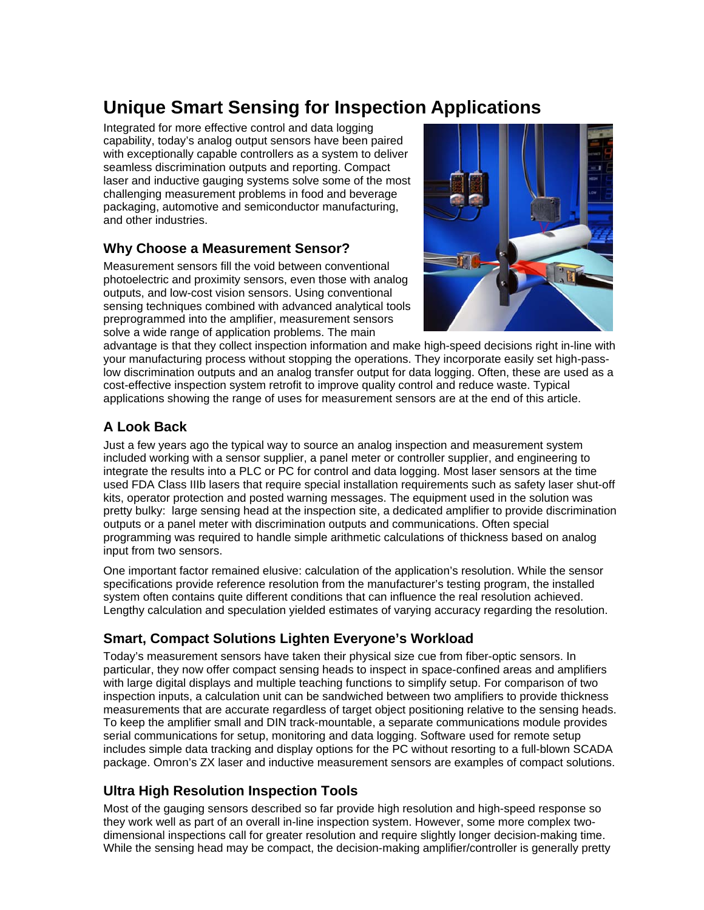# **Unique Smart Sensing for Inspection Applications**

Integrated for more effective control and data logging capability, today's analog output sensors have been paired with exceptionally capable controllers as a system to deliver seamless discrimination outputs and reporting. Compact laser and inductive gauging systems solve some of the most challenging measurement problems in food and beverage packaging, automotive and semiconductor manufacturing, and other industries.

#### **Why Choose a Measurement Sensor?**

Measurement sensors fill the void between conventional photoelectric and proximity sensors, even those with analog outputs, and low-cost vision sensors. Using conventional sensing techniques combined with advanced analytical tools preprogrammed into the amplifier, measurement sensors solve a wide range of application problems. The main



advantage is that they collect inspection information and make high-speed decisions right in-line with your manufacturing process without stopping the operations. They incorporate easily set high-passlow discrimination outputs and an analog transfer output for data logging. Often, these are used as a cost-effective inspection system retrofit to improve quality control and reduce waste. Typical applications showing the range of uses for measurement sensors are at the end of this article.

## **A Look Back**

Just a few years ago the typical way to source an analog inspection and measurement system included working with a sensor supplier, a panel meter or controller supplier, and engineering to integrate the results into a PLC or PC for control and data logging. Most laser sensors at the time used FDA Class IIIb lasers that require special installation requirements such as safety laser shut-off kits, operator protection and posted warning messages. The equipment used in the solution was pretty bulky: large sensing head at the inspection site, a dedicated amplifier to provide discrimination outputs or a panel meter with discrimination outputs and communications. Often special programming was required to handle simple arithmetic calculations of thickness based on analog input from two sensors.

One important factor remained elusive: calculation of the application's resolution. While the sensor specifications provide reference resolution from the manufacturer's testing program, the installed system often contains quite different conditions that can influence the real resolution achieved. Lengthy calculation and speculation yielded estimates of varying accuracy regarding the resolution.

## **Smart, Compact Solutions Lighten Everyone's Workload**

Today's measurement sensors have taken their physical size cue from fiber-optic sensors. In particular, they now offer compact sensing heads to inspect in space-confined areas and amplifiers with large digital displays and multiple teaching functions to simplify setup. For comparison of two inspection inputs, a calculation unit can be sandwiched between two amplifiers to provide thickness measurements that are accurate regardless of target object positioning relative to the sensing heads. To keep the amplifier small and DIN track-mountable, a separate communications module provides serial communications for setup, monitoring and data logging. Software used for remote setup includes simple data tracking and display options for the PC without resorting to a full-blown SCADA package. Omron's ZX laser and inductive measurement sensors are examples of compact solutions.

## **Ultra High Resolution Inspection Tools**

Most of the gauging sensors described so far provide high resolution and high-speed response so they work well as part of an overall in-line inspection system. However, some more complex twodimensional inspections call for greater resolution and require slightly longer decision-making time. While the sensing head may be compact, the decision-making amplifier/controller is generally pretty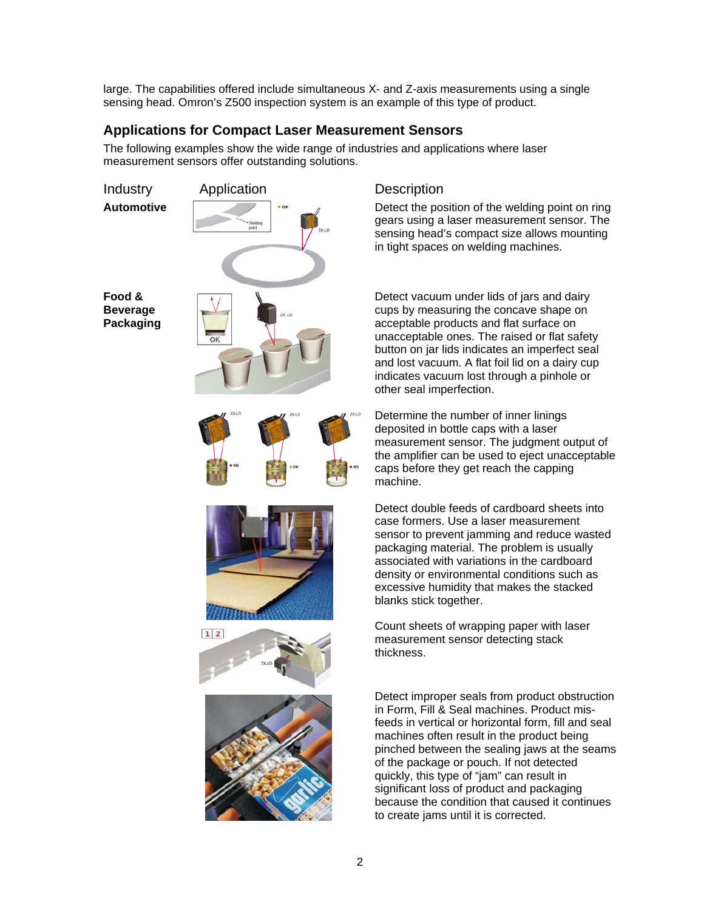large. The capabilities offered include simultaneous X- and Z-axis measurements using a single sensing head. Omron's Z500 inspection system is an example of this type of product.

#### **Applications for Compact Laser Measurement Sensors**

The following examples show the wide range of industries and applications where laser measurement sensors offer outstanding solutions.



gears using a laser measurement sensor. The sensing head's compact size allows mounting in tight spaces on welding machines.

 Detect vacuum under lids of jars and dairy cups by measuring the concave shape on acceptable products and flat surface on unacceptable ones. The raised or flat safety button on jar lids indicates an imperfect seal and lost vacuum. A flat foil lid on a dairy cup indicates vacuum lost through a pinhole or other seal imperfection.

Determine the number of inner linings deposited in bottle caps with a laser measurement sensor. The judgment output of the amplifier can be used to eject unacceptable caps before they get reach the capping machine.

 Detect double feeds of cardboard sheets into case formers. Use a laser measurement sensor to prevent jamming and reduce wasted packaging material. The problem is usually associated with variations in the cardboard density or environmental conditions such as excessive humidity that makes the stacked blanks stick together.

Count sheets of wrapping paper with laser measurement sensor detecting stack thickness.

> Detect improper seals from product obstruction in Form, Fill & Seal machines. Product misfeeds in vertical or horizontal form, fill and seal machines often result in the product being pinched between the sealing jaws at the seams of the package or pouch. If not detected quickly, this type of "jam" can result in significant loss of product and packaging because the condition that caused it continues to create jams until it is corrected.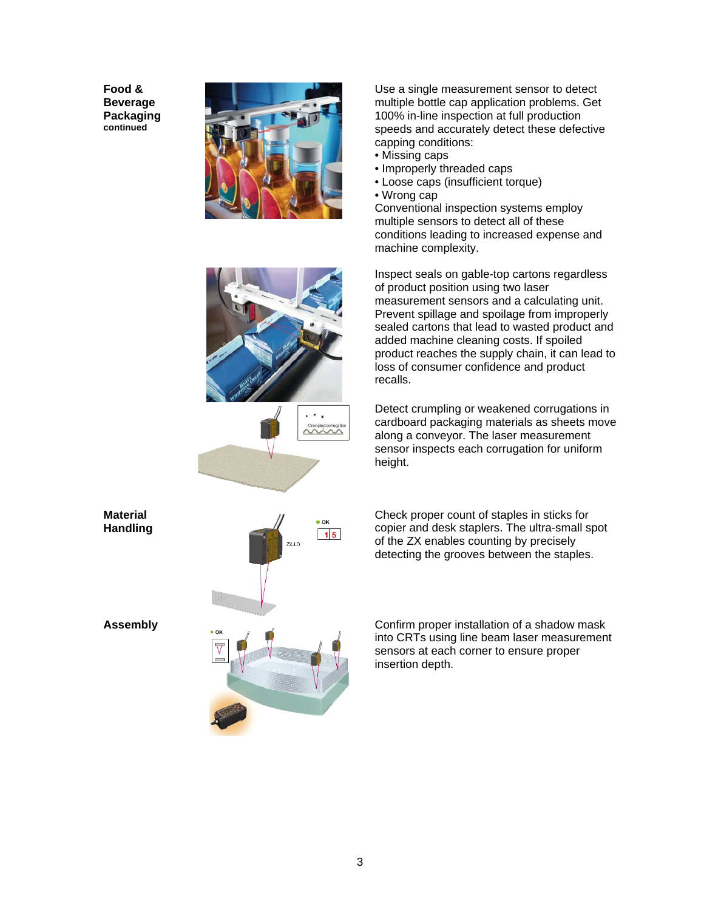**Food & Beverage Packaging continued**



 Use a single measurement sensor to detect multiple bottle cap application problems. Get 100% in-line inspection at full production speeds and accurately detect these defective capping conditions:

- Missing caps
- Improperly threaded caps
- Loose caps (insufficient torque)
- Wrong cap

Conventional inspection systems employ multiple sensors to detect all of these conditions leading to increased expense and machine complexity.

 Inspect seals on gable-top cartons regardless of product position using two laser measurement sensors and a calculating unit. Prevent spillage and spoilage from improperly sealed cartons that lead to wasted product and added machine cleaning costs. If spoiled product reaches the supply chain, it can lead to loss of consumer confidence and product recalls.

Detect crumpling or weakened corrugations in cardboard packaging materials as sheets move along a conveyor. The laser measurement sensor inspects each corrugation for uniform height.

 Check proper count of staples in sticks for copier and desk staplers. The ultra-small spot of the ZX enables counting by precisely detecting the grooves between the staples.

**Assembly Confirm proper installation of a shadow mask** into CRTs using line beam laser measurement sensors at each corner to ensure proper insertion depth.



**Material Handling**